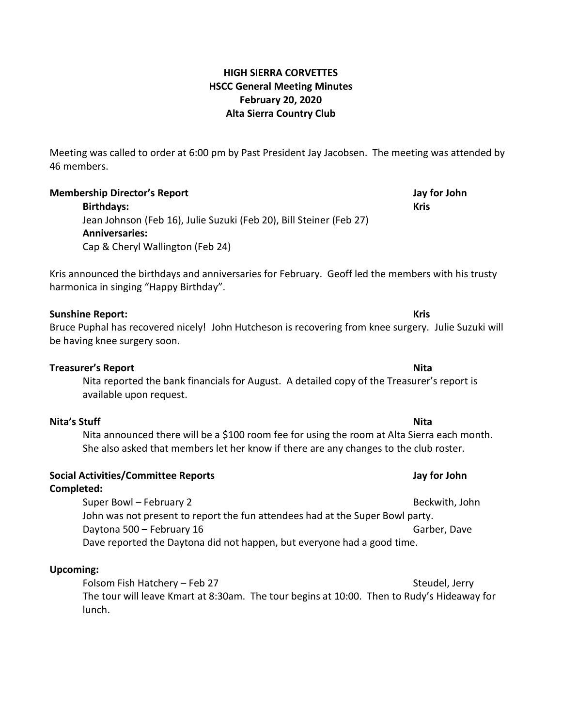# **HIGH SIERRA CORVETTES HSCC General Meeting Minutes February 20, 2020 Alta Sierra Country Club**

Meeting was called to order at 6:00 pm by Past President Jay Jacobsen. The meeting was attended by 46 members.

# **Membership Director's Report Jay for John**

**Birthdays: Kris** Jean Johnson (Feb 16), Julie Suzuki (Feb 20), Bill Steiner (Feb 27) **Anniversaries:** Cap & Cheryl Wallington (Feb 24)

Kris announced the birthdays and anniversaries for February. Geoff led the members with his trusty harmonica in singing "Happy Birthday".

## **Sunshine Report: Kris**

Bruce Puphal has recovered nicely! John Hutcheson is recovering from knee surgery. Julie Suzuki will be having knee surgery soon.

### **Treasurer's Report Nita**

Nita reported the bank financials for August. A detailed copy of the Treasurer's report is available upon request.

# **Nita's Stuff Nita**

Nita announced there will be a \$100 room fee for using the room at Alta Sierra each month. She also asked that members let her know if there are any changes to the club roster.

### **Social Activities/Committee Reports Jay for John Completed:**

Super Bowl – February 2 Beckwith, John John was not present to report the fun attendees had at the Super Bowl party. Daytona 500 – February 16 Garber, Dave Dave reported the Daytona did not happen, but everyone had a good time.

### **Upcoming:**

Folsom Fish Hatchery – Feb 27 Steudel, Jerry The tour will leave Kmart at 8:30am. The tour begins at 10:00. Then to Rudy's Hideaway for lunch.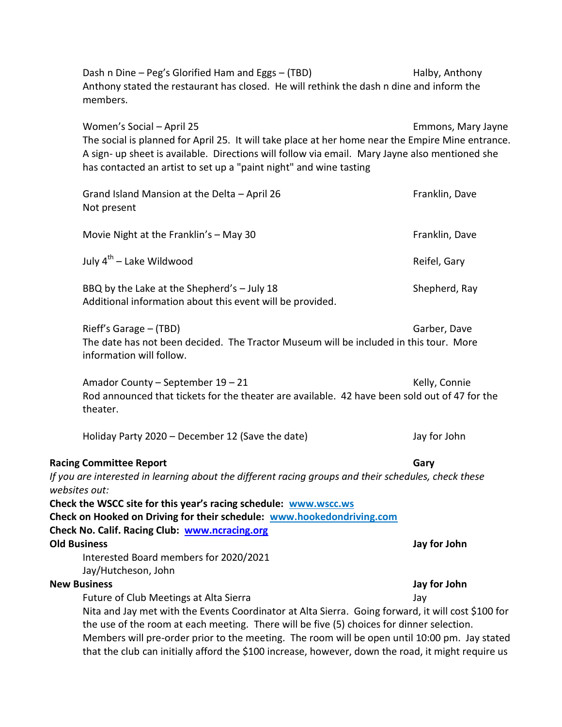Dash n Dine – Peg's Glorified Ham and Eggs – (TBD) Halby, Anthony Anthony stated the restaurant has closed. He will rethink the dash n dine and inform the members.

Women's Social – April 25 **Emmons**, Mary Jayne The social is planned for April 25. It will take place at her home near the Empire Mine entrance. A sign- up sheet is available. Directions will follow via email. Mary Jayne also mentioned she has contacted an artist to set up a "paint night" and wine tasting

| Grand Island Mansion at the Delta - April 26<br>Not present                                                                                                                                                                                                                                                                                                                                            | Franklin, Dave |
|--------------------------------------------------------------------------------------------------------------------------------------------------------------------------------------------------------------------------------------------------------------------------------------------------------------------------------------------------------------------------------------------------------|----------------|
| Movie Night at the Franklin's - May 30                                                                                                                                                                                                                                                                                                                                                                 | Franklin, Dave |
| July 4 <sup>th</sup> – Lake Wildwood                                                                                                                                                                                                                                                                                                                                                                   | Reifel, Gary   |
| BBQ by the Lake at the Shepherd's - July 18<br>Additional information about this event will be provided.                                                                                                                                                                                                                                                                                               | Shepherd, Ray  |
| Rieff's Garage - (TBD)<br>The date has not been decided. The Tractor Museum will be included in this tour. More<br>information will follow.                                                                                                                                                                                                                                                            | Garber, Dave   |
| Amador County - September 19 - 21<br>Rod announced that tickets for the theater are available. 42 have been sold out of 47 for the<br>theater.                                                                                                                                                                                                                                                         | Kelly, Connie  |
| Holiday Party 2020 - December 12 (Save the date)                                                                                                                                                                                                                                                                                                                                                       | Jay for John   |
| <b>Racing Committee Report</b><br>If you are interested in learning about the different racing groups and their schedules, check these<br>websites out:                                                                                                                                                                                                                                                | Gary           |
| Check the WSCC site for this year's racing schedule: www.wscc.ws<br>Check on Hooked on Driving for their schedule: www.hookedondriving.com<br>Check No. Calif. Racing Club: www.ncracing.org                                                                                                                                                                                                           |                |
| <b>Old Business</b><br>Interested Board members for 2020/2021<br>Jay/Hutcheson, John                                                                                                                                                                                                                                                                                                                   | Jay for John   |
| <b>New Business</b>                                                                                                                                                                                                                                                                                                                                                                                    | Jay for John   |
| Future of Club Meetings at Alta Sierra                                                                                                                                                                                                                                                                                                                                                                 | Jav            |
| Nita and Jay met with the Events Coordinator at Alta Sierra. Going forward, it will cost \$100 for<br>the use of the room at each meeting. There will be five (5) choices for dinner selection.<br>Members will pre-order prior to the meeting. The room will be open until 10:00 pm. Jay stated<br>that the club can initially afford the \$100 increase, however, down the road, it might require us |                |